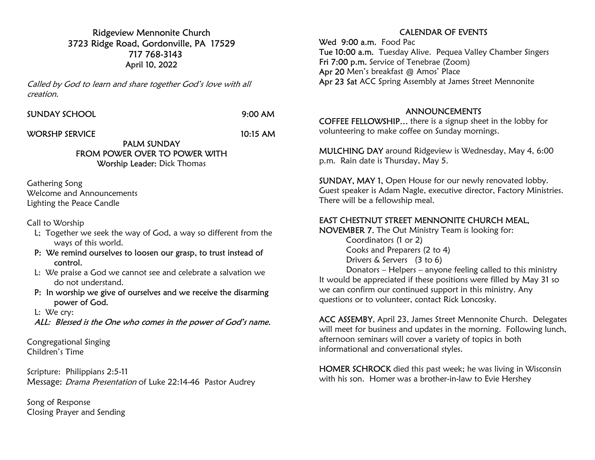Ridgeview Mennonite Church 3723 Ridge Road, Gordonville, PA 17529 717 768-3143 April 10, 2022

Called by God to learn and share together God's love with all creation.

#### SUNDAY SCHOOL 9:00 AM

WORSHP SERVICE 10:15 AM

PALM SUNDAY FROM POWER OVER TO POWER WITH Worship Leader: Dick Thomas

Gathering Song Welcome and Announcements Lighting the Peace Candle

Call to Worship

- L; Together we seek the way of God, a way so different from the ways of this world.
- P: We remind ourselves to loosen our grasp, to trust instead of control.
- L: We praise a God we cannot see and celebrate a salvation we do not understand.
- P: In worship we give of ourselves and we receive the disarming power of God.
- L: We cry:

ALL: Blessed is the One who comes in the power of God's name.

Congregational Singing Children's Time

Scripture: Philippians 2:5-11 Message: Drama Presentation of Luke 22:14-46 Pastor Audrey

Song of Response Closing Prayer and Sending

## CALENDAR OF EVENTS

Wed 9:00 a.m. Food Pac Tue 10:00 a.m. Tuesday Alive. Pequea Valley Chamber Singers Fri 7:00 p.m. Service of Tenebrae (Zoom) Apr 20 Men's breakfast @ Amos' Place Apr 23 Sat ACC Spring Assembly at James Street Mennonite

#### ANNOUNCEMENTS

COFFEE FELLOWSHIP… there is a signup sheet in the lobby for volunteering to make coffee on Sunday mornings.

MULCHING DAY around Ridgeview is Wednesday, May 4, 6:00 p.m. Rain date is Thursday, May 5.

SUNDAY, MAY 1, Open House for our newly renovated lobby. Guest speaker is Adam Nagle, executive director, Factory Ministries. There will be a fellowship meal.

## EAST CHESTNUT STREET MENNONITE CHURCH MEAL,

NOVEMBER 7. The Out Ministry Team is looking for: Coordinators (1 or 2) Cooks and Preparers (2 to 4)

Drivers & Servers (3 to 6)

 Donators – Helpers – anyone feeling called to this ministry It would be appreciated if these positions were filled by May 31 so we can confirm our continued support in this ministry. Any questions or to volunteer, contact Rick Loncosky.

ACC ASSEMBY, April 23, James Street Mennonite Church. Delegates will meet for business and updates in the morning. Following lunch, afternoon seminars will cover a variety of topics in both informational and conversational styles.

HOMER SCHROCK died this past week; he was living in Wisconsin with his son. Homer was a brother-in-law to Evie Hershey